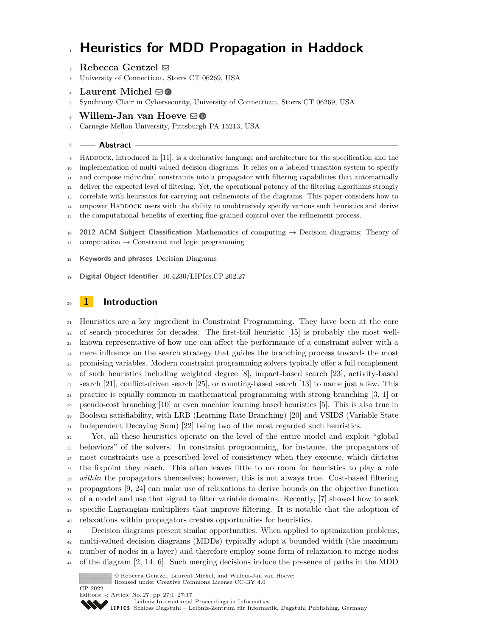# **Heuristics for MDD Propagation in Haddock**

## $\Omega$ **Rebecca Gentzel**  $\boxtimes$

University of Connecticut, Storrs CT 06269, USA

## Laurent Michel  $\boxdot$

Synchrony Chair in Cybersecurity, University of Connecticut, Storrs CT 06269, USA

#### 6 Willem-Jan van Hoeve ⊠**®**

Carnegie Mellon University, Pittsburgh PA 15213, USA

#### **Abstract**

 Haddock, introduced in [\[11\]](#page-15-0), is a declarative language and architecture for the specification and the implementation of multi-valued decision diagrams. It relies on a labeled transition system to specify and compose individual constraints into a propagator with filtering capabilities that automatically deliver the expected level of filtering. Yet, the operational potency of the filtering algorithms strongly correlate with heuristics for carrying out refinements of the diagrams. This paper considers how to empower Haddock users with the ability to unobtrusively specify various such heuristics and derive the computational benefits of exerting fine-grained control over the refinement process. **2012 ACM Subject Classification** Mathematics of computing → Decision diagrams; Theory of computation  $\rightarrow$  Constraint and logic programming

- **Keywords and phrases** Decision Diagrams
- **Digital Object Identifier** [10.4230/LIPIcs.CP.202.27](https://doi.org/10.4230/LIPIcs.CP.202.27)

# **1 Introduction**

 Heuristics are a key ingredient in Constraint Programming. They have been at the core of search procedures for decades. The first-fail heuristic [\[15\]](#page-15-1) is probably the most well- known representative of how one can affect the performance of a constraint solver with a <sup>24</sup> mere influence on the search strategy that guides the branching process towards the most promising variables. Modern constraint programming solvers typically offer a full complement of such heuristics including weighted degree [\[8\]](#page-15-2), impact-based search [\[23\]](#page-16-0), activity-based search [\[21\]](#page-16-1), conflict-driven search [\[25\]](#page-16-2), or counting-based search [\[13\]](#page-15-3) to name just a few. This practice is equally common in mathematical programming with strong branching [\[3,](#page-15-4) [1\]](#page-15-5) or pseudo-cost branching [\[10\]](#page-15-6) or even machine learning based heuristics [\[5\]](#page-15-7). This is also true in Boolean satisfiability, with LRB (Learning Rate Branching) [\[20\]](#page-16-3) and VSIDS (Variable State Independent Decaying Sum) [\[22\]](#page-16-4) being two of the most regarded such heuristics.

 Yet, all these heuristics operate on the level of the entire model and exploit "global behaviors" of the solvers. In constraint programming, for instance, the propagators of most constraints use a prescribed level of consistency when they execute, which dictates the fixpoint they reach. This often leaves little to no room for heuristics to play a role <sup>36</sup> *within* the propagators themselves; however, this is not always true. Cost-based filtering propagators [\[9,](#page-15-8) [24\]](#page-16-5) can make use of relaxations to derive bounds on the objective function of a model and use that signal to filter variable domains. Recently, [\[7\]](#page-15-9) showed how to seek specific Lagrangian multipliers that improve filtering. It is notable that the adoption of relaxations within propagators creates opportunities for heuristics.

 Decision diagrams present similar opportunities. When applied to optimization problems, multi-valued decision diagrams (MDDs) typically adopt a bounded width (the maximum number of nodes in a layer) and therefore employ some form of relaxation to merge nodes of the diagram [\[2,](#page-15-10) [14,](#page-15-11) [6\]](#page-15-12). Such merging decisions induce the presence of paths in the MDD



[Leibniz International Proceedings in Informatics](https://www.dagstuhl.de/lipics/) [Schloss Dagstuhl – Leibniz-Zentrum für Informatik, Dagstuhl Publishing, Germany](https://www.dagstuhl.de)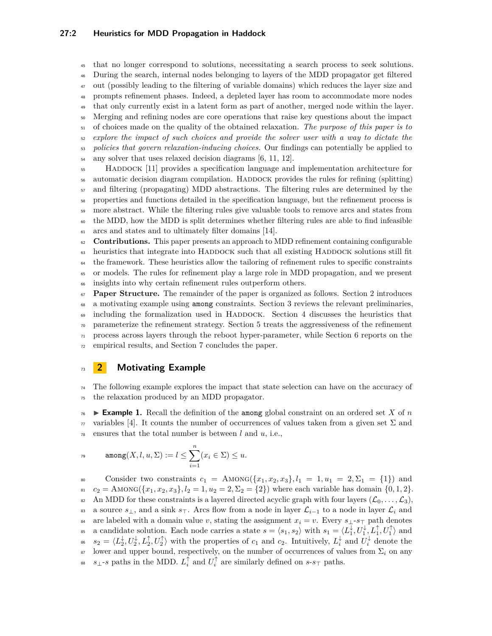that no longer correspond to solutions, necessitating a search process to seek solutions. During the search, internal nodes belonging to layers of the MDD propagator get filtered out (possibly leading to the filtering of variable domains) which reduces the layer size and prompts refinement phases. Indeed, a depleted layer has room to accommodate more nodes that only currently exist in a latent form as part of another, merged node within the layer. Merging and refining nodes are core operations that raise key questions about the impact of choices made on the quality of the obtained relaxation. *The purpose of this paper is to explore the impact of such choices and provide the solver user with a way to dictate the policies that govern relaxation-inducing choices.* Our findings can potentially be applied to any solver that uses relaxed decision diagrams [\[6,](#page-15-12) [11,](#page-15-0) [12\]](#page-15-13). Haddock [\[11\]](#page-15-0) provides a specification language and implementation architecture for

<sup>56</sup> automatic decision diagram compilation. HADDOCK provides the rules for refining (splitting) and filtering (propagating) MDD abstractions. The filtering rules are determined by the properties and functions detailed in the specification language, but the refinement process is more abstract. While the filtering rules give valuable tools to remove arcs and states from the MDD, how the MDD is split determines whether filtering rules are able to find infeasible arcs and states and to ultimately filter domains [\[14\]](#page-15-11).

 **Contributions.** This paper presents an approach to MDD refinement containing configurable 63 heuristics that integrate into HADDOCK such that all existing HADDOCK solutions still fit the framework. These heuristics allow the tailoring of refinement rules to specific constraints or models. The rules for refinement play a large role in MDD propagation, and we present insights into why certain refinement rules outperform others.

<sup>67</sup> **Paper Structure.** The remainder of the paper is organized as follows. Section [2](#page-1-0) introduces a motivating example using among constraints. Section [3](#page-2-0) reviews the relevant preliminaries, <sup>69</sup> including the formalization used in HADDOCK. Section [4](#page-4-0) discusses the heuristics that <sup>70</sup> parameterize the refinement strategy. Section [5](#page-9-0) treats the aggressiveness of the refinement  $\pi$  process across layers through the reboot hyper-parameter, while Section [6](#page-10-0) reports on the <sup>72</sup> empirical results, and Section [7](#page-14-0) concludes the paper.

# <span id="page-1-0"></span><sup>73</sup> **2 Motivating Example**

<sup>74</sup> The following example explores the impact that state selection can have on the accuracy of <sup>75</sup> the relaxation produced by an MDD propagator.

<span id="page-1-1"></span> $76 \rightarrow$  **Example 1.** Recall the definition of the among global constraint on an ordered set X of *n*  $\pi$  variables [\[4\]](#page-15-14). It counts the number of occurrences of values taken from a given set  $\Sigma$  and  $78$  ensures that the total number is between  $l$  and  $u$ , i.e.,

$$
\text{among}(X, l, u, \Sigma) := l \leq \sum_{i=1}^{n} (x_i \in \Sigma) \leq u.
$$

80 Consider two constraints  $c_1 = \text{AMONG}(\{x_1, x_2, x_3\}, l_1 = 1, u_1 = 2, \Sigma_1 = \{1\})$  and 81 *c*<sub>2</sub> = AMONG $({x_1, x_2, x_3}, l_2 = 1, u_2 = 2, \Sigma_2 = {2}$ ) where each variable has domain  ${0, 1, 2}$ . 82 An MDD for these constraints is a layered directed acyclic graph with four layers  $(\mathcal{L}_0, \ldots, \mathcal{L}_3)$ , 83 a source  $s_{\perp}$ , and a sink  $s_{\perp}$ . Arcs flow from a node in layer  $\mathcal{L}_{i-1}$  to a node in layer  $\mathcal{L}_i$  and 84 are labeled with a domain value *v*, stating the assignment  $x_i = v$ . Every  $s_{\perp}$ - $s_{\perp}$  path denotes as a candidate solution. Each node carries a state  $s = \langle s_1, s_2 \rangle$  with  $s_1 = \langle L_1^{\downarrow}, U_1^{\downarrow}, L_1^{\uparrow}, U_1^{\uparrow} \rangle$  and  $s_2 = \langle L_2^{\downarrow}, L_2^{\uparrow}, L_2^{\uparrow}, U_2^{\uparrow} \rangle$  with the properties of  $c_1$  and  $c_2$ . Intuitively,  $L_i^{\downarrow}$  and  $U_i^{\downarrow}$  denote the <sup>87</sup> lower and upper bound, respectively, on the number of occurrences of values from  $\Sigma_i$  on any <sup>88</sup> are similarly defined on *s*-*s*<sup> $\top$ </sup> paths.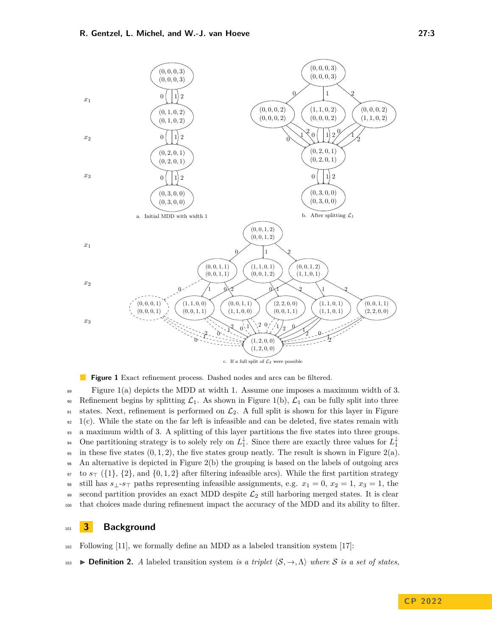<span id="page-2-1"></span>

**Figure 1** Exact refinement process. Dashed nodes and arcs can be filtered.

<sup>89</sup> Figure [1\(](#page-2-1)a) depicts the MDD at width 1. Assume one imposes a maximum width of 3. 90 Refinement begins by splitting  $\mathcal{L}_1$ . As shown in Figure [1\(](#page-2-1)b),  $\mathcal{L}_1$  can be fully split into three 91 states. Next, refinement is performed on  $\mathcal{L}_2$ . A full split is shown for this layer in Figure  $92 \text{ } 1(c)$  $92 \text{ } 1(c)$  $92 \text{ } 1(c)$ . While the state on the far left is infeasible and can be deleted, five states remain with <sup>93</sup> a maximum width of 3. A splitting of this layer partitions the five states into three groups. One partitioning strategy is to solely rely on  $L_1^{\downarrow}$ . Since there are exactly three values for  $L_1^{\downarrow}$ 94 <sup>95</sup> in these five states  $(0, 1, 2)$ , the five states group neatly. The result is shown in Figure [2\(](#page-3-0)a). <sup>96</sup> An alternative is depicted in Figure [2\(](#page-3-0)b) the grouping is based on the labels of outgoing arcs <sup>97</sup> to *s*<sup>⊤</sup> ({1}, {2}, and {0*,* 1*,* 2} after filtering infeasible arcs). While the first partition strategy <sup>98</sup> still has  $s_{\perp}$ - $s_{\perp}$  paths representing infeasible assignments, e.g.  $x_1 = 0$ ,  $x_2 = 1$ ,  $x_3 = 1$ , the 99 second partition provides an exact MDD despite  $\mathcal{L}_2$  still harboring merged states. It is clear <sup>100</sup> that choices made during refinement impact the accuracy of the MDD and its ability to filter.

#### <span id="page-2-0"></span><sup>101</sup> **3 Background**

 $102$  Following [\[11\]](#page-15-0), we formally define an MDD as a labeled transition system [\[17\]](#page-15-15):

<sup>103</sup> ▶ **Definition 2.** *A* labeled transition system *is a triplet* ⟨S*,* →*,*Λ⟩ *where* S *is a set of states,*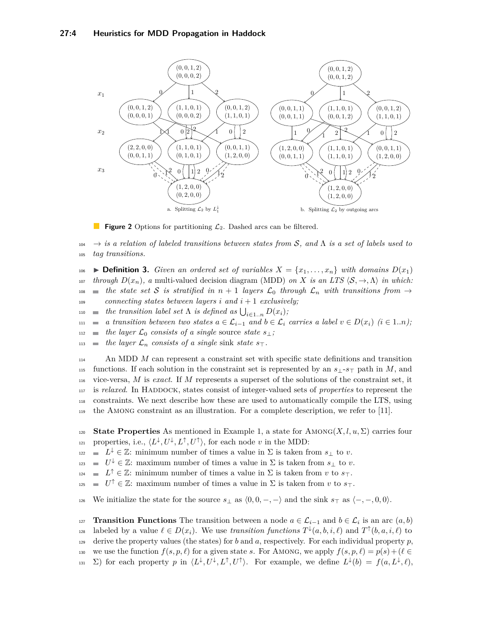<span id="page-3-0"></span>

 $\mathbb{R}^3$ **Figure 2** Options for partitioning  $\mathcal{L}_2$ . Dashed arcs can be filtered.

<sup>104</sup> → *is a relation of labeled transitions between states from* S*, and* Λ *is a set of labels used to* <sup>105</sup> *tag transitions.*

**Example 3.** Given an ordered set of variables  $X = \{x_1, \ldots, x_n\}$  with domains  $D(x_1)$ *through*  $D(x_n)$ , a multi-valued decision diagram (MDD) *on X is an LTS*  $\langle S, \rightarrow, \Lambda \rangle$  *in which:* **the state set S** is stratified in  $n + 1$  *layers*  $\mathcal{L}_0$  *through*  $\mathcal{L}_n$  *with transitions from*  $\rightarrow$  $\Box$ <sup>109</sup> *connecting states between layers i* and  $i + 1$  *exclusively;* 

- $\mathcal{L}_{10}$  **i** the transition label set  $\Lambda$  is defined as  $\bigcup_{i \in 1..n} D(x_i)$ ;
- <sup>111</sup> *a transition between two states a* ∈ L*i*−<sup>1</sup> *and b* ∈ L*<sup>i</sup> carries a label v* ∈ *D*(*xi*) *(i* ∈ 1*..n);*
- $t_{112}$  **the layer**  $\mathcal{L}_0$  consists of a single source *state s*⊥*;*
- 113 **the layer**  $\mathcal{L}_n$  consists of a single sink *state*  $s_{\top}$ *.*

 An MDD *M* can represent a constraint set with specific state definitions and transition functions. If each solution in the constraint set is represented by an *s*⊥-*s*<sup>⊤</sup> path in *M*, and vice-versa, *M* is *exact*. If *M* represents a superset of the solutions of the constraint set, it is *relaxed*. In Haddock, states consist of integer-valued sets of *properties* to represent the constraints. We next describe how these are used to automatically compile the LTS, using the Among constraint as an illustration. For a complete description, we refer to [\[11\]](#page-15-0).

120 **State Properties** As mentioned in Example [1,](#page-1-1) a state for  $AMONG(X, l, u, \Sigma)$  carries four properties, i.e.,  $\langle L^{\downarrow}, U^{\downarrow}, L^{\uparrow}, U^{\uparrow} \rangle$ , for each node *v* in the MDD:

- $L^{\downarrow}$  ∈ *Z*: minimum number of times a value in Σ is taken from *s*<sub>⊥</sub> to *v*.
- $U^{\downarrow}$  ∈ ℤ: maximum number of times a value in Σ is taken from  $s_{\perp}$  to *v*.
- $L^{\uparrow}$  ∈ *Z*: minimum number of times a value in Σ is taken from *v* to *s*⊤.
- $U^{\uparrow}$  ∈ Z: maximum number of times a value in Σ is taken from *v* to  $s<sub>T</sub>$ .

126 We initialize the state for the source  $s_\perp$  as  $\langle 0, 0, -, - \rangle$  and the sink  $s_\perp$  as  $\langle -, -, 0, 0 \rangle$ .

**Transition Functions** The transition between a node  $a \in \mathcal{L}_{i-1}$  and  $b \in \mathcal{L}_i$  is an arc  $(a, b)$ labeled by a value  $\ell \in D(x_i)$ . We use *transition functions*  $T^{\downarrow}(a, b, i, \ell)$  and  $T^{\uparrow}(b, a, i, \ell)$  to 129 derive the property values (the states) for *b* and *a*, respectively. For each individual property *p*, 130 we use the function  $f(s, p, \ell)$  for a given state *s*. For AMONG, we apply  $f(s, p, \ell) = p(s) + (\ell \in$ 131  $\Sigma$ ) for each property p in  $\langle L^{\downarrow}, U^{\downarrow}, L^{\uparrow}, U^{\uparrow} \rangle$ . For example, we define  $L^{\downarrow}(b) = f(a, L^{\downarrow}, \ell)$ ,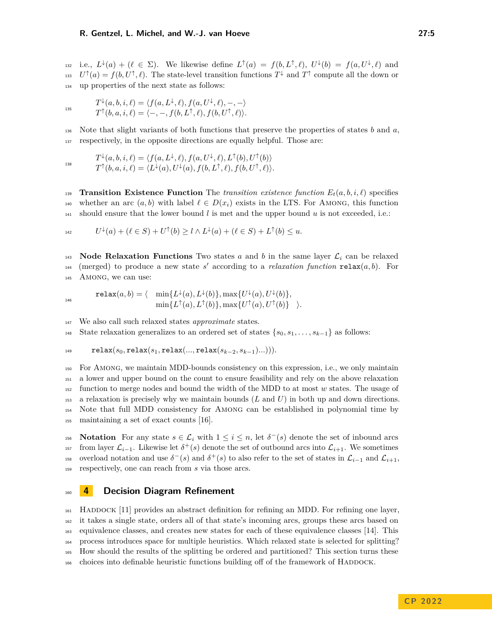i.e.,  $L^{\downarrow}(a) + (\ell \in \Sigma)$ . We likewise define  $L^{\uparrow}(a) = f(b, L^{\uparrow}, \ell)$ ,  $U^{\downarrow}(b) = f(a, U^{\downarrow}, \ell)$  and  $U^{\dagger}(a) = f(b, U^{\dagger}, \ell)$ . The state-level transition functions  $T^{\downarrow}$  and  $T^{\dagger}$  compute all the down or <sup>134</sup> up properties of the next state as follows:

$$
T^{\downarrow}(a,b,i,\ell) = \langle f(a,L^{\downarrow},\ell), f(a,U^{\downarrow},\ell), -, -\rangle
$$
  

$$
T^{\uparrow}(b,a,i,\ell) = \langle -, -, f(b,L^{\uparrow},\ell), f(b,U^{\uparrow},\ell) \rangle.
$$

 $\overline{1}$ 

146

<sup>136</sup> Note that slight variants of both functions that preserve the properties of states *b* and *a*, <sup>137</sup> respectively, in the opposite directions are equally helpful. Those are:

$$
T^{\downarrow}(a,b,i,\ell) = \langle f(a,L^{\downarrow},\ell), f(a,U^{\downarrow},\ell), L^{\uparrow}(b), U^{\uparrow}(b) \rangle
$$
  

$$
T^{\uparrow}(b,a,i,\ell) = \langle L^{\downarrow}(a), U^{\downarrow}(a), f(b,L^{\uparrow},\ell), f(b,U^{\uparrow},\ell) \rangle.
$$

**Transition Existence Function** The *transition existence function*  $E_t(a, b, i, l)$  specifies 140 whether an arc  $(a, b)$  with label  $\ell \in D(x_i)$  exists in the LTS. For AMONG, this function  $_{141}$  should ensure that the lower bound *l* is met and the upper bound *u* is not exceeded, i.e.:

$$
U^{\downarrow}(a) + (\ell \in S) + U^{\uparrow}(b) \ge l \wedge L^{\downarrow}(a) + (\ell \in S) + L^{\uparrow}(b) \le u.
$$

143 **Node Relaxation Functions** Two states *a* and *b* in the same layer  $\mathcal{L}_i$  can be relaxed  $144$  (merged) to produce a new state s' according to a *relaxation function* relax $(a, b)$ . For 145 AMONG, we can use:

$$
\mathtt{relax}(a,b) = \langle \min\{L^\downarrow(a), L^\downarrow(b)\}, \max\{U^\downarrow(a), U^\downarrow(b)\},\\ \min\{L^\uparrow(a), L^\uparrow(b)\}, \max\{U^\uparrow(a), U^\uparrow(b)\} \rangle.
$$

<sup>147</sup> We also call such relaxed states *approximate* states.

<sup>148</sup> State relaxation generalizes to an ordered set of states {*s*0*, s*1*, . . . , sk*−1} as follows:

$$
\qquad \qquad \mathsf{relax}(s_0, \mathsf{relax}(s_1, \mathsf{relax}(\ldots, \mathsf{relax}(s_{k-2}, s_{k-1})\ldots))).
$$

 For Among, we maintain MDD-bounds consistency on this expression, i.e., we only maintain a lower and upper bound on the count to ensure feasibility and rely on the above relaxation function to merge nodes and bound the width of the MDD to at most *w* states. The usage of a relaxation is precisely why we maintain bounds (*L* and *U*) in both up and down directions. Note that full MDD consistency for Among can be established in polynomial time by maintaining a set of exact counts [\[16\]](#page-15-16).

156 **Notation** For any state  $s \in \mathcal{L}_i$  with  $1 \leq i \leq n$ , let  $\delta^-(s)$  denote the set of inbound arcs from layer  $\mathcal{L}_{i-1}$ . Likewise let  $\delta^+(s)$  denote the set of outbound arcs into  $\mathcal{L}_{i+1}$ . We sometimes <sup>158</sup> (overload notation and use  $\delta^-(s)$  and  $\delta^+(s)$  to also refer to the set of states in  $\mathcal{L}_{i-1}$  and  $\mathcal{L}_{i+1}$ , <sup>159</sup> respectively, one can reach from *s* via those arcs.

#### <span id="page-4-0"></span><sup>160</sup> **4 Decision Diagram Refinement**

 $_{161}$  HADDOCK [\[11\]](#page-15-0) provides an abstract definition for refining an MDD. For refining one layer, it takes a single state, orders all of that state's incoming arcs, groups these arcs based on equivalence classes, and creates new states for each of these equivalence classes [\[14\]](#page-15-11). This process introduces space for multiple heuristics. Which relaxed state is selected for splitting? How should the results of the splitting be ordered and partitioned? This section turns these <sub>166</sub> choices into definable heuristic functions building off of the framework of HADDOCK.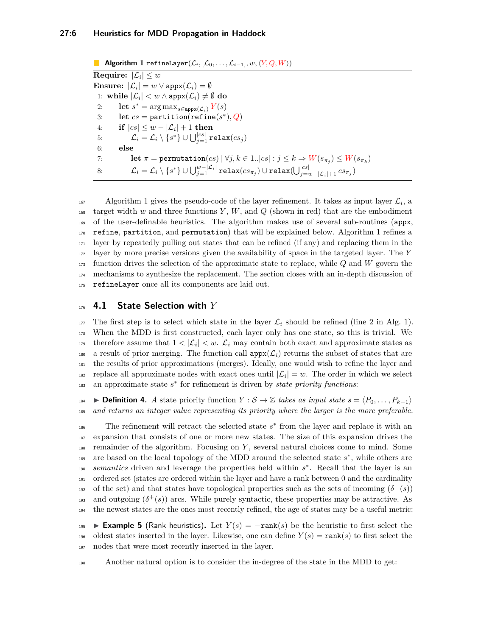<span id="page-5-0"></span>**Algorithm 1** refineLayer $(\mathcal{L}_i, [\mathcal{L}_0, \ldots, \mathcal{L}_{i-1}], w, \langle Y, Q, W \rangle)$  ${\bf Required}$ **ire:**  $|{\cal L}_i| \leq w$  $\textbf{Ensure:} \,\, |\mathcal{L}_i| = w \vee \texttt{appx}(\mathcal{L}_i) = \emptyset$  $1: \text{ while } |\mathcal{L}_i| < w \wedge \mathtt{appx}(\mathcal{L}_i) \neq \emptyset \mathtt{ do}$ 2: **let**  $s^* = \arg \max_{s \in \text{appx}(\mathcal{L}_i)} Y(s)$ 3: **let**  $cs =$ **partition**(**refine** $(s^*), Q$ )  $4: \quad \quad \textbf{if} \,\, |cs| \leq w - |\mathcal{L}_i| + 1 \,\, \textbf{then}$  $\mathcal{L}_i = \mathcal{L}_i \setminus \{s^*\} \cup \bigcup_{j=1}^{|cs|} \mathtt{relax}(cs_j)$ 6: **else** 7: **let**  $\pi = \text{permutation}(cs) | \forall j, k \in 1..|cs| : j \leq k \Rightarrow W(s_{\pi_j}) \leq W(s_{\pi_k})$  $\mathcal{L}_i = \mathcal{L}_i \setminus \{s^*\} \cup \bigcup_{j=1}^{w-|\mathcal{L}_i|} \texttt{relax}(cs_{\pi_j}) \cup \texttt{relax}(\bigcup_{j=w-|\mathcal{L}_i|+1}^{|cs|} cs_{\pi_j})$ 

 $A$ lgorithm [1](#page-5-0) gives the pseudo-code of the layer refinement. It takes as input layer  $\mathcal{L}_i$ , a 168 target width  $w$  and three functions  $Y, W$ , and  $Q$  (shown in red) that are the embodiment of the user-definable heuristics. The algorithm makes use of several sub-routines (appx, refine, partition, and permutation) that will be explained below. Algorithm [1](#page-5-0) refines a layer by repeatedly pulling out states that can be refined (if any) and replacing them in the layer by more precise versions given the availability of space in the targeted layer. The *Y* function drives the selection of the approximate state to replace, while *Q* and *W* govern the mechanisms to synthesize the replacement. The section closes with an in-depth discussion of 175 refineLayer once all its components are laid out.

## <sup>176</sup> **4.1 State Selection with** *Y*

<sup>177</sup> The first step is to select which state in the layer  $\mathcal{L}_i$  should be refined (line 2 in Alg. [1\)](#page-5-0). <sup>178</sup> When the MDD is first constructed, each layer only has one state, so this is trivial. We therefore assume that  $1 < |\mathcal{L}_i| < w$ .  $\mathcal{L}_i$  may contain both exact and approximate states as <sup>180</sup> a result of prior merging. The function call  $appx(\mathcal{L}_i)$  returns the subset of states that are <sup>181</sup> the results of prior approximations (merges). Ideally, one would wish to refine the layer and replace all approximate nodes with exact ones until  $|\mathcal{L}_i| = w$ . The order in which we select 183 an approximate state  $s^*$  for refinement is driven by *state priority functions*:

**■ Definition 4.** *A* state priority function  $Y : \mathcal{S} \to \mathbb{Z}$  takes as input state  $s = \langle P_0, \ldots, P_{k-1} \rangle$ <sup>185</sup> *and returns an integer value representing its priority where the larger is the more preferable.*

<sup>186</sup> The refinement will retract the selected state  $s$ <sup>\*</sup> from the layer and replace it with an <sup>187</sup> expansion that consists of one or more new states. The size of this expansion drives the <sup>188</sup> remainder of the algorithm. Focusing on *Y* , several natural choices come to mind. Some <sup>189</sup> are based on the local topology of the MDD around the selected state  $s^*$ , while others are 190 *semantics* driven and leverage the properties held within  $s^*$ . Recall that the layer is an <sup>191</sup> ordered set (states are ordered within the layer and have a rank between 0 and the cardinality <sup>192</sup> of the set) and that states have topological properties such as the sets of incoming  $(\delta^-(s))$ <sup>193</sup> and outgoing  $(\delta^+(s))$  arcs. While purely syntactic, these properties may be attractive. As <sup>194</sup> the newest states are the ones most recently refined, the age of states may be a useful metric:

<sup>195</sup> ▶ **Example 5** (Rank heuristics)**.** Let *Y* (*s*) = −rank(*s*) be the heuristic to first select the 196 oldest states inserted in the layer. Likewise, one can define  $Y(s) = \text{rank}(s)$  to first select the <sup>197</sup> nodes that were most recently inserted in the layer.

<sup>198</sup> Another natural option is to consider the in-degree of the state in the MDD to get: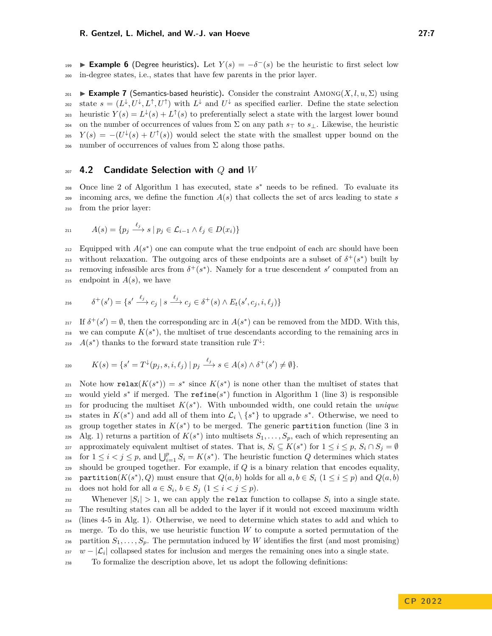**Example 6** (Degree heuristics). Let  $Y(s) = -\delta^-(s)$  be the heuristic to first select low <sup>200</sup> in-degree states, i.e., states that have few parents in the prior layer.

201 **► Example 7** (Semantics-based heuristic). Consider the constraint AMONG( $X, l, u, \Sigma$ ) using state  $s = (L^{\downarrow}, U^{\downarrow}, L^{\uparrow}, U^{\uparrow})$  with  $L^{\downarrow}$  and  $U^{\downarrow}$  as specified earlier. Define the state selection heuristic  $Y(s) = L^{\downarrow}(s) + L^{\uparrow}(s)$  to preferentially select a state with the largest lower bound <sup>204</sup> on the number of occurrences of values from Σ on any path *s*<sup>⊤</sup> to *s*⊥. Likewise, the heuristic <sup>205</sup>  $Y(s) = -(U^{\downarrow}(s) + U^{\uparrow}(s))$  would select the state with the smallest upper bound on the 206 number of occurrences of values from  $\Sigma$  along those paths.

#### <sup>207</sup> **4.2 Candidate Selection with** *Q* **and** *W*

208 Once line 2 of Algorithm [1](#page-5-0) has executed, state s<sup>\*</sup> needs to be refined. To evaluate its <sup>209</sup> incoming arcs, we define the function *A*(*s*) that collects the set of arcs leading to state *s* <sup>210</sup> from the prior layer:

$$
A(s) = \{ p_j \xrightarrow{\ell_j} s \mid p_j \in \mathcal{L}_{i-1} \land \ell_j \in D(x_i) \}
$$

Equipped with  $A(s^*)$  one can compute what the true endpoint of each arc should have been <sup>213</sup> without relaxation. The outgoing arcs of these endpoints are a subset of  $\delta^+(s^*)$  built by <sup>214</sup> removing infeasible arcs from  $\delta^+(s^*)$ . Namely for a true descendent *s'* computed from an 215 endpoint in  $A(s)$ , we have

$$
e_{216} \qquad \delta^+(s') = \{s' \xrightarrow{\ell_j} c_j \mid s \xrightarrow{\ell_j} c_j \in \delta^+(s) \land E_t(s', c_j, i, \ell_j)\}
$$

<sup>217</sup> If  $\delta^+(s') = \emptyset$ , then the corresponding arc in  $A(s^*)$  can be removed from the MDD. With this, 218 we can compute  $K(s^*)$ , the multiset of true descendants according to the remaining arcs in 219  $A(s^*)$  thanks to the forward state transition rule  $T^{\downarrow}$ :

$$
K(s) = \{s' = T^{\downarrow}(p_j, s, i, \ell_j) \mid p_j \xrightarrow{\ell_j} s \in A(s) \land \delta^+(s') \neq \emptyset\}.
$$

221 Note how relax $(K(s^*)) = s^*$  since  $K(s^*)$  is none other than the multiset of states that  $_{222}$  would yield  $s^*$  if merged. The **refine**( $s^*$ ) function in Algorithm [1](#page-5-0) (line 3) is responsible  $\sum_{z=23}$  for producing the multiset  $K(s^*)$ . With unbounded width, one could retain the *unique* states in  $K(s^*)$  and add all of them into  $\mathcal{L}_i \setminus \{s^*\}$  to upgrade  $s^*$ . Otherwise, we need to  $_{225}$  group together states in  $K(s^*)$  to be merged. The generic partition function (line 3 in 226 Alg. [1\)](#page-5-0) returns a partition of  $K(s^*)$  into multisets  $S_1, \ldots, S_p$ , each of which representing an approximately equivalent multiset of states. That is,  $S_i \subseteq K(s^*)$  for  $1 \leq i \leq p$ ,  $S_i \cap S_j = \emptyset$ for  $1 \leq i < j \leq p$ , and  $\bigcup_{i=1}^{p} S_i = K(s^*)$ . The heuristic function *Q* determines which states <sup>229</sup> should be grouped together. For example, if *Q* is a binary relation that encodes equality, 230 **partition**( $K(s^*)$ , Q) must ensure that  $Q(a, b)$  holds for all  $a, b \in S_i$  ( $1 \le i \le p$ ) and  $Q(a, b)$  $\alpha$ <sup>231</sup> does not hold for all  $a \in S_i$ ,  $b \in S_j$   $(1 \leq i < j \leq p)$ .

Whenever  $|S_i| > 1$ , we can apply the relax function to collapse  $S_i$  into a single state. <sup>233</sup> The resulting states can all be added to the layer if it would not exceed maximum width <sup>234</sup> (lines 4-5 in Alg. [1\)](#page-5-0). Otherwise, we need to determine which states to add and which to <sup>235</sup> merge. To do this, we use heuristic function *W* to compute a sorted permutation of the 236 partition  $S_1, \ldots, S_p$ . The permutation induced by W identifies the first (and most promising) <sup>237</sup> *w* −  $|\mathcal{L}_i|$  collapsed states for inclusion and merges the remaining ones into a single state.

<sup>238</sup> To formalize the description above, let us adopt the following definitions: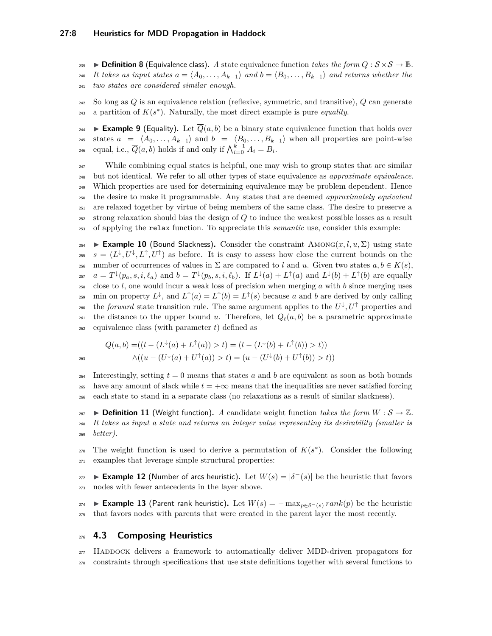**Definition 8** (Equivalence class). A state equivalence function *takes the form*  $Q : S \times S \to \mathbb{B}$ . 240 *It takes as input states*  $a = \langle A_0, \ldots, A_{k-1} \rangle$  and  $b = \langle B_0, \ldots, B_{k-1} \rangle$  and returns whether the <sup>241</sup> *two states are considered similar enough.*

<sup>242</sup> So long as *Q* is an equivalence relation (reflexive, symmetric, and transitive), *Q* can generate  $_{243}$  a partition of  $K(s^*)$ . Naturally, the most direct example is pure *equality*.

**Example 9** (Equality). Let  $\overline{Q}(a, b)$  be a binary state equivalence function that holds over 245 states  $a = \langle A_0, \ldots, A_{k-1} \rangle$  and  $b = \langle B_0, \ldots, B_{k-1} \rangle$  when all properties are point-wise equal, i.e.,  $\overline{Q}(a, b)$  holds if and only if  $\bigwedge_{i=0}^{k-1} A_i = B_i$ .

 While combining equal states is helpful, one may wish to group states that are similar but not identical. We refer to all other types of state equivalence as *approximate equivalence*. Which properties are used for determining equivalence may be problem dependent. Hence the desire to make it programmable. Any states that are deemed *approximately equivalent* are relaxed together by virtue of being members of the same class. The desire to preserve a strong relaxation should bias the design of *Q* to induce the weakest possible losses as a result of applying the relax function. To appreciate this *semantic* use, consider this example:

<span id="page-7-0"></span>**Example 10** (Bound Slackness). Consider the constraint  $\text{AMONG}(x, l, u, \Sigma)$  using state <sup>255</sup>  $s = (L^{\downarrow}, U^{\downarrow}, L^{\uparrow}, U^{\uparrow})$  as before. It is easy to assess how close the current bounds on the <sup>256</sup> number of occurrences of values in  $\Sigma$  are compared to *l* and *u*. Given two states  $a, b \in K(s)$ , <sup>257</sup>  $a = T^{\downarrow}(p_a, s, i, \ell_a)$  and  $b = T^{\downarrow}(p_b, s, i, \ell_b)$ . If  $L^{\downarrow}(a) + L^{\uparrow}(a)$  and  $L^{\downarrow}(b) + L^{\uparrow}(b)$  are equally  $258$  close to *l*, one would incur a weak loss of precision when merging *a* with *b* since merging uses <sup>259</sup> min on property  $L^{\downarrow}$ , and  $L^{\uparrow}(a) = L^{\uparrow}(b) = L^{\uparrow}(s)$  because *a* and *b* are derived by only calling the *forward* state transition rule. The same argument applies to the  $U^{\downarrow}, U^{\uparrow}$  properties and <sup>261</sup> the distance to the upper bound *u*. Therefore, let  $Q_t(a, b)$  be a parametric approximate <sup>262</sup> equivalence class (with parameter *t*) defined as

$$
Q(a,b) = ((l - (L^{\downarrow}(a) + L^{\uparrow}(a)) > t) = (l - (L^{\downarrow}(b) + L^{\uparrow}(b)) > t))
$$
  

$$
\wedge ((u - (U^{\downarrow}(a) + U^{\uparrow}(a)) > t) = (u - (U^{\downarrow}(b) + U^{\uparrow}(b)) > t))
$$

Interestingly, setting  $t = 0$  means that states a and b are equivalent as soon as both bounds 265 have any amount of slack while  $t = +\infty$  means that the inequalities are never satisfied forcing <sup>266</sup> each state to stand in a separate class (no relaxations as a result of similar slackness).

 $\mathcal{L}_{267}$   $\triangleright$  **Definition 11** (Weight function). A candidate weight function *takes the form*  $W : \mathcal{S} \to \mathbb{Z}$ . <sup>268</sup> *It takes as input a state and returns an integer value representing its desirability (smaller is* <sup>269</sup> *better).*

The weight function is used to derive a permutation of  $K(s^*)$ . Consider the following <sup>271</sup> examples that leverage simple structural properties:

**Example 12** (Number of arcs heuristic). Let  $W(s) = |\delta^-(s)|$  be the heuristic that favors <sup>273</sup> nodes with fewer antecedents in the layer above.

<sup>274</sup> ▶ **Example 13** (Parent rank heuristic)**.** Let *W*(*s*) = − max*p*∈*δ*−(*s*) *rank*(*p*) be the heuristic <sup>275</sup> that favors nodes with parents that were created in the parent layer the most recently.

## <sup>276</sup> **4.3 Composing Heuristics**

<sup>277</sup> HADDOCK delivers a framework to automatically deliver MDD-driven propagators for <sup>278</sup> constraints through specifications that use state definitions together with several functions to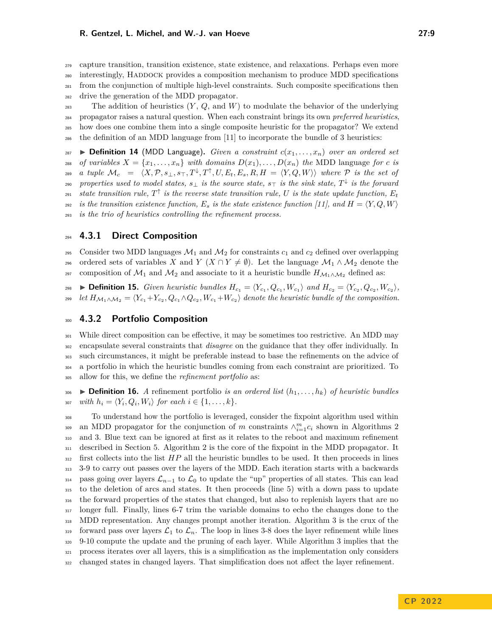<sup>279</sup> capture transition, transition existence, state existence, and relaxations. Perhaps even more

<sup>280</sup> interestingly, Haddock provides a composition mechanism to produce MDD specifications

- <sup>281</sup> from the conjunction of multiple high-level constraints. Such composite specifications then
- <sup>282</sup> drive the generation of the MDD propagator.
- <sup>283</sup> The addition of heuristics (*Y* , *Q*, and *W*) to modulate the behavior of the underlying <sup>284</sup> propagator raises a natural question. When each constraint brings its own *preferred heuristics*, <sup>285</sup> how does one combine them into a single composite heuristic for the propagator? We extend
- <sup>286</sup> the definition of an MDD language from [\[11\]](#page-15-0) to incorporate the bundle of 3 heuristics:

 $\triangleright$  **Definition 14** (MDD Language). *Given a constraint*  $c(x_1, \ldots, x_n)$  *over an ordered set* 288 *of variables*  $X = \{x_1, \ldots, x_n\}$  *with domains*  $D(x_1), \ldots, D(x_n)$  *the* MDD language *for c is*  $\mathcal{M}_c = \langle X, \mathcal{P}, s_\perp, s_\top, T^\downarrow, T^\uparrow, U, E_t, E_s, R, H = \langle Y, Q, W \rangle \rangle$  where  $\mathcal P$  is the set of  $_{290}$  *properties used to model states,*  $s_{\perp}$  *is the source state,*  $s_{\top}$  *is the sink state,*  $T^{\downarrow}$  *is the forward* 291 *state transition rule,*  $T^{\uparrow}$  *is the reverse state transition rule, U is the state update function,*  $E_t$ 292 *is the transition existence function,*  $E_s$  *is the state existence function* [\[11\]](#page-15-0), and  $H = \langle Y, Q, W \rangle$ <sup>293</sup> *is the trio of heuristics controlling the refinement process.*

## <sup>294</sup> **4.3.1 Direct Composition**

295 Consider two MDD languages  $\mathcal{M}_1$  and  $\mathcal{M}_2$  for constraints  $c_1$  and  $c_2$  defined over overlapping 296 ordered sets of variables *X* and *Y* (*X* ∩ *Y*  $\neq$   $\emptyset$ ). Let the language  $\mathcal{M}_1 \wedge \mathcal{M}_2$  denote the <sup>297</sup> composition of  $\mathcal{M}_1$  and  $\mathcal{M}_2$  and associate to it a heuristic bundle  $H_{\mathcal{M}_1 \wedge \mathcal{M}_2}$  defined as:

**Definition 15.** Given heuristic bundles  $H_{c_1} = \langle Y_{c_1}, Q_{c_1}, W_{c_1} \rangle$  and  $H_{c_2} = \langle Y_{c_2}, Q_{c_2}, W_{c_2} \rangle$ ,  $\mathcal{L}_{299}$  *let*  $H_{\mathcal{M}_1 \wedge \mathcal{M}_2} = \langle Y_{c_1} + Y_{c_2}, Q_{c_1} \wedge Q_{c_2}, W_{c_1} + W_{c_2} \rangle$  denote the heuristic bundle of the composition.

#### <sup>300</sup> **4.3.2 Portfolio Composition**

<sup>301</sup> While direct composition can be effective, it may be sometimes too restrictive. An MDD may <sup>302</sup> encapsulate several constraints that *disagree* on the guidance that they offer individually. In <sup>303</sup> such circumstances, it might be preferable instead to base the refinements on the advice of <sup>304</sup> a portfolio in which the heuristic bundles coming from each constraint are prioritized. To <sup>305</sup> allow for this, we define the *refinement portfolio* as:

 $\bullet$  **Definition 16.** *A* refinement portfolio *is an ordered list*  $(h_1, \ldots, h_k)$  *of heuristic bundles*  $\text{Cov}_i$  *with*  $h_i = \langle Y_i, Q_i, W_i \rangle$  for each  $i \in \{1, \ldots, k\}.$ 

 To understand how the portfolio is leveraged, consider the fixpoint algorithm used within an MDD propagator for the conjunction of *m* constraints  $\wedge_{i=1}^{m} c_i$  shown in Algorithms [2](#page-9-1) and [3.](#page-9-2) Blue text can be ignored at first as it relates to the reboot and maximum refinement described in Section [5.](#page-9-0) Algorithm [2](#page-9-1) is the core of the fixpoint in the MDD propagator. It first collects into the list *HP* all the heuristic bundles to be used. It then proceeds in lines 3-9 to carry out passes over the layers of the MDD. Each iteration starts with a backwards <sup>314</sup> pass going over layers  $\mathcal{L}_{n-1}$  to  $\mathcal{L}_0$  to update the "up" properties of all states. This can lead to the deletion of arcs and states. It then proceeds (line 5) with a down pass to update the forward properties of the states that changed, but also to replenish layers that are no longer full. Finally, lines 6-7 trim the variable domains to echo the changes done to the MDD representation. Any changes prompt another iteration. Algorithm [3](#page-9-2) is the crux of the 319 forward pass over layers  $\mathcal{L}_1$  to  $\mathcal{L}_n$ . The loop in lines 3-8 does the layer refinement while lines 9-10 compute the update and the pruning of each layer. While Algorithm [3](#page-9-2) implies that the process iterates over all layers, this is a simplification as the implementation only considers changed states in changed layers. That simplification does not affect the layer refinement.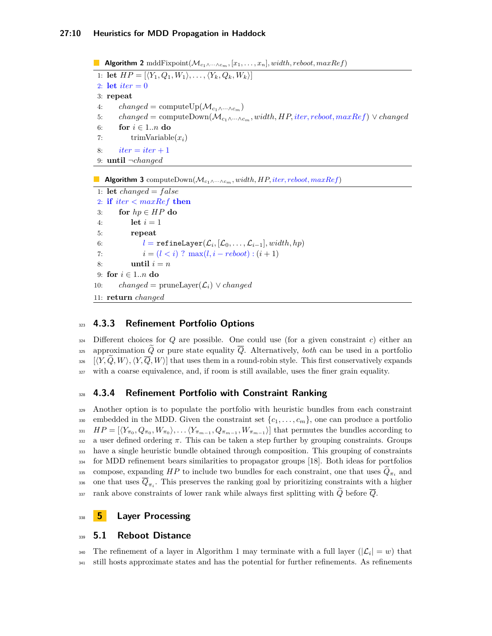<span id="page-9-1"></span>**Algorithm 2** mddFixpoint(M*<sup>c</sup>*1∧···∧*cm,* [*x*1*, . . . , xn*]*, width, reboot, maxRef*) 1: **let**  $HP = [\langle Y_1, Q_1, W_1 \rangle, \dots, \langle Y_k, Q_k, W_k \rangle]$ 2: **let**  $iter = 0$ 3: **repeat** 4: *changed* = computeUp( $\mathcal{M}_{c_1 \wedge \cdots \wedge c_m}$ ) 5: *changed* = computeDown(M*<sup>c</sup>*1∧···∧*cm, width, HP,iter, reboot, maxRef*) ∨ *changed* 6: **for**  $i \in 1..n$  **do** 7: trimVariable(*xi*) 8:  $iter = iter + 1$ 9: **until** ¬*changed*

<span id="page-9-2"></span>**Algorithm 3** computeDown(M*<sup>c</sup>*1∧···∧*cm, width, HP,iter, reboot, maxRef*)

```
1: let changed = f alse
2: if iter < maxRef then
3: for hp ∈ HP do
4: let i = 15: repeat
 6: l = \texttt{refineLayer}(\mathcal{L}_i, [\mathcal{L}_0, \dots, \mathcal{L}_{i-1}], width, hp)7: i = (l < i) ? \max(l, i - reboot) : (i + 1)8: until i = n9: for i ∈ 1..n do
10: changed = pruneLayer(\mathcal{L}_i) \vee changed
11: return changed
```
# <sup>323</sup> **4.3.3 Refinement Portfolio Options**

 $324$  Different choices for *Q* are possible. One could use (for a given constraint *c*) either an 325 approximation  $\tilde{Q}$  or pure state equality  $\overline{Q}$ . Alternatively, *both* can be used in a portfolio  $\langle Y, \overline{Q}, W \rangle, \langle Y, \overline{Q}, W \rangle$  that uses them in a round-robin style. This first conservatively expands <sup>327</sup> with a coarse equivalence, and, if room is still available, uses the finer grain equality.

## <sup>328</sup> **4.3.4 Refinement Portfolio with Constraint Ranking**

<sup>329</sup> Another option is to populate the portfolio with heuristic bundles from each constraint 330 embedded in the MDD. Given the constraint set  $\{c_1, \ldots, c_m\}$ , one can produce a portfolio  $HP = [\langle Y_{\pi_0}, Q_{\pi_0}, W_{\pi_0} \rangle, \ldots \langle Y_{\pi_{m-1}}, Q_{\pi_{m-1}}, W_{\pi_{m-1}} \rangle]$  that permutes the bundles according to 332 a user defined ordering  $\pi$ . This can be taken a step further by grouping constraints. Groups <sup>333</sup> have a single heuristic bundle obtained through composition. This grouping of constraints <sup>334</sup> for MDD refinement bears similarities to propagator groups [\[18\]](#page-15-17). Both ideas for portfolios compose, expanding *HP* to include two bundles for each constraint, one that uses  $Q_{\pi_i}$  and 336 one that uses  $Q_{\pi_i}$ . This preserves the ranking goal by prioritizing constraints with a higher  $337$  rank above constraints of lower rank while always first splitting with  $\tilde{Q}$  before  $\overline{Q}$ .

# <span id="page-9-0"></span><sup>338</sup> **5 Layer Processing**

## <sup>339</sup> **5.1 Reboot Distance**

<sup>340</sup> The refinement of a layer in Algorithm [1](#page-5-0) may terminate with a full layer  $(|\mathcal{L}_i| = w)$  that <sup>341</sup> still hosts approximate states and has the potential for further refinements. As refinements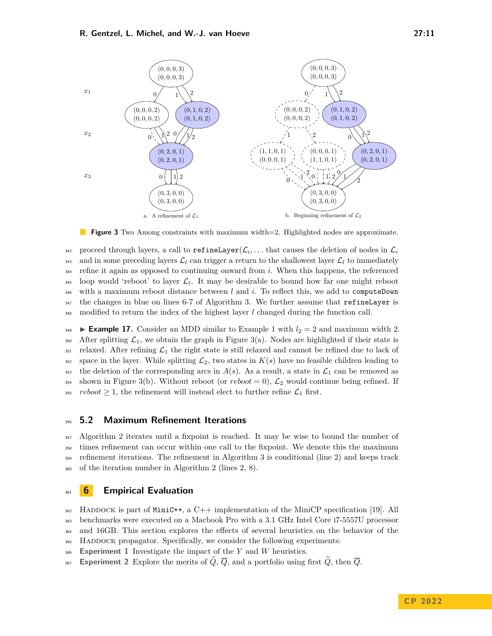(0*,* 3*,* 0*,* 0)

a. A refinement of  $\mathcal{L}_1$ 

<span id="page-10-1"></span>

b. Beginning refinement of  $\mathcal{L}_2$ 

(0*,* 3*,* 0*,* 0)

**Figure 3** Two Among constraints with maximum width=2. Highlighted nodes are approximate.

proceed through layers, a call to  $\texttt{refineLayer}(\mathcal{L}_i, \dots$  that causes the deletion of nodes in  $\mathcal{L}_i$ 342 343 and in some preceding layers  $\mathcal{L}_l$  can trigger a return to the shallowest layer  $\mathcal{L}_l$  to immediately <sup>344</sup> refine it again as opposed to continuing onward from *i*. When this happens, the referenced  $_{345}$  loop would 'reboot' to layer  $\mathcal{L}_l$ . It may be desirable to bound how far one might reboot <sup>346</sup> with a maximum reboot distance between *l* and *i*. To reflect this, we add to computeDown <sup>347</sup> the changes in blue on lines 6-7 of Algorithm [3.](#page-9-2) We further assume that refineLayer is 348 modified to return the index of the highest layer *l* changed during the function call.

**Example [1](#page-1-1)7.** Consider an MDD similar to Example 1 with  $l_2 = 2$  and maximum width 2. 350 After splitting  $\mathcal{L}_1$ , we obtain the graph in Figure [3\(](#page-10-1)a). Nodes are highlighted if their state is  $351$  relaxed. After refining  $\mathcal{L}_1$  the right state is still relaxed and cannot be refined due to lack of <sup>352</sup> space in the layer. While splitting  $\mathcal{L}_2$ , two states in  $K(s)$  have no feasible children leading to <sup>353</sup> the deletion of the corresponding arcs in  $A(s)$ . As a result, a state in  $\mathcal{L}_1$  can be removed as 354 shown in Figure [3\(](#page-10-1)b). Without reboot (or  $reboot = 0$ ),  $\mathcal{L}_2$  would continue being refined. If 355 *reboot*  $\geq 1$ , the refinement will instead elect to further refine  $\mathcal{L}_1$  first.

#### <sup>356</sup> **5.2 Maximum Refinement Iterations**

 Algorithm [2](#page-9-1) iterates until a fixpoint is reached. It may be wise to bound the number of times refinement can occur within one call to the fixpoint. We denote this the maximum refinement iterations. The refinement in Algorithm [3](#page-9-2) is conditional (line 2) and keeps track of the iteration number in Algorithm [2](#page-9-1) (lines 2, 8).

## <span id="page-10-0"></span><sup>361</sup> **6 Empirical Evaluation**

 $_{362}$  HADDOCK is part of MiniC++, a C++ implementation of the MiniCP specification [\[19\]](#page-15-18). All <sup>363</sup> benchmarks were executed on a Macbook Pro with a 3.1 GHz Intel Core i7-5557U processor

<sup>364</sup> and 16GB. This section explores the effects of several heuristics on the behavior of the

<sup>365</sup> Haddock propagator. Specifically, we consider the following experiments:

<sup>366</sup> **Experiment 1** Investigate the impact of the *Y* and *W* heuristics.

367 **Experiment 2** Explore the merits of  $\widetilde{Q}$ ,  $\overline{Q}$ , and a portfolio using first  $\widetilde{Q}$ , then  $\overline{Q}$ .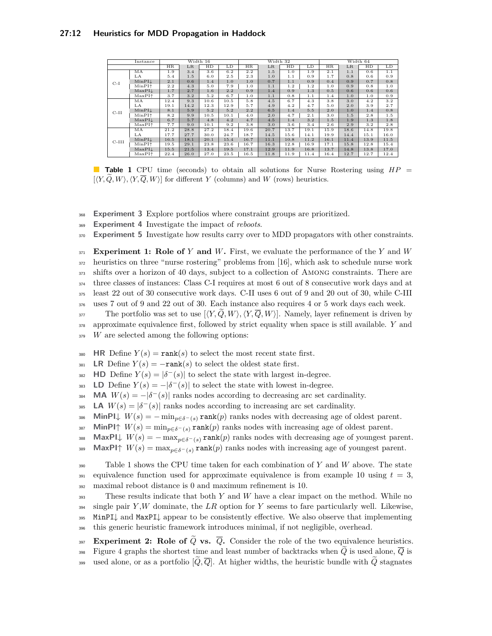<span id="page-11-0"></span>

| Instance |                                       |      |         | Width 16 |      | Width 32<br>Width 64 |         |      |      |      |         |                  |      |
|----------|---------------------------------------|------|---------|----------|------|----------------------|---------|------|------|------|---------|------------------|------|
|          |                                       | HR.  | $_{LR}$ | HD       | LD   | HR.                  | $_{LR}$ | HD   | LD   | HR   | $_{LR}$ | HD               | LD   |
|          | МA                                    | 1.9  | 3.4     | 3.6      | 6.2  | 2.2                  | 1.5     | 1.0  | 1.9  | 2.1  | 1.1     | 0.6              | 1.1  |
|          | LA                                    | 5.4  | 1.5     | 6.0      | 2.5  | 2.3                  | 1.0     | 1.1  | 0.9  | 1.7  | 0.8     | 0.6              | 0.9  |
| $C-I$    | MinPIL                                | 2.1  | 0.6     | 1.4      | 1.0  | 1.0                  | 0.7     | 1.1  | 0.9  | 0.4  | 0.9     | 0.7              | 0.8  |
|          | MinPI <sup><math>\dagger</math></sup> | 2.2  | 4.3     | 5.0      | 7.9  | 1.0                  | 1.1     | 1.2  | 1.2  | 1.0  | 0.9     | 0.8              | 1.0  |
|          | MaxPL                                 | 1.7  | 2.7     | 1.6      | 2.2  | 0.9                  | 1.4     | 0.9  | 1.3  | 0.5  | 0.6     | 0.6              | 0.6  |
|          | $MaxPI+$                              | 3.7  | 3.2     | 5.2      | 6.7  | 1.0                  | 1.1     | 0.8  | 1.1  | 1.4  | 1.0     | 1.0              | 0.9  |
|          | MA                                    | 12.4 | 9.3     | 10.6     | 10.5 | 5.8                  | 4.5     | 6.7  | 4.3  | 3.8  | 3.0     | $\overline{4.2}$ | 3.2  |
|          | LA                                    | 19.1 | 14.2    | 12.3     | 12.9 | 5.7                  | 4.9     | 4.2  | 4.7  | 5.0  | 2.0     | 3.9              | 2.7  |
| $C-II$   | MinPIL                                | 8.1  | 5.9     | 5.2      | 5.2  | 2.2                  | 6.5     | 1.4  | 5.5  | 2.0  | 1.0     | 1.4              | 0.8  |
|          | $MinPI^+$                             | 8.2  | 9.9     | 10.5     | 10.1 | 4.0                  | 2.0     | 4.7  | 2.1  | 3.0  | 1.5     | 2.8              | 1.5  |
|          | MaxPIL                                | 6.7  | 5.7     | 4.8      | 4.2  | 4.7                  | 4.5     | 1.4  | 3.2  | 1.5  | 1.9     | 1.3              | 1.8  |
|          | $MaxPI^+$                             | 7.7  | 9.0     | 10.1     | 9.2  | 3.8                  | 3.0     | 3.6  | 3.4  | 2.6  | 2.9     | 3.2              | 2.8  |
|          | МA                                    | 21.2 | 28.8    | 27.2     | 18.4 | 19.6                 | 20.7    | 13.7 | 19.1 | 15.9 | 18.6    | 14.8             | 19.8 |
| $C-III$  | LA                                    | 17.7 | 27.7    | 30.0     | 24.7 | 18.7                 | 14.5    | 15.6 | 14.1 | 19.9 | 14.4    | 15.1             | 16.0 |
|          | MinPIL                                | 16.5 | 18.1    | 20.1     | 15.4 | 16.7                 | 11.1    | 10.8 | 11.2 | 16.1 | 11.4    | 13.9             | 11.5 |
|          | $MinPI^+$                             | 19.5 | 29.1    | 23.8     | 23.6 | 16.7                 | 16.3    | 12.8 | 16.9 | 17.1 | 15.8    | 12.8             | 15.4 |
|          | MaxPIL                                | 15.5 | 21.5    | 13.4     | 19.5 | 17.1                 | 12.9    | 11.9 | 16.8 | 13.7 | 14.8    | 13.8             | 17.0 |
|          | $MaxPI^+$                             | 22.4 | 26.0    | 27.0     | 23.5 | 16.5                 | 11.8    | 11.9 | 11.4 | 16.4 | 12.7    | 12.7             | 12.4 |

**Table 1** CPU time (seconds) to obtain all solutions for Nurse Rostering using *HP* =  $[\langle Y, Q, W \rangle, \langle Y, \overline{Q}, W \rangle]$  for different *Y* (columns) and *W* (rows) heuristics.

<sup>368</sup> **Experiment 3** Explore portfolios where constraint groups are prioritized.

<sup>369</sup> **Experiment 4** Investigate the impact of *reboots*.

<sup>370</sup> **Experiment 5** Investigate how results carry over to MDD propagators with other constraints.

 **Experiment 1: Role of** *Y* **and** *W***.** First, we evaluate the performance of the *Y* and *W* heuristics on three "nurse rostering" problems from [\[16\]](#page-15-16), which ask to schedule nurse work shifts over a horizon of 40 days, subject to a collection of Among constraints. There are <sup>374</sup> three classes of instances: Class C-I requires at most 6 out of 8 consecutive work days and at least 22 out of 30 consecutive work days. C-II uses 6 out of 9 and 20 out of 30, while C-III

<sup>376</sup> uses 7 out of 9 and 22 out of 30. Each instance also requires 4 or 5 work days each week.

377 The portfolio was set to use  $[\langle Y, \overline{Q}, W \rangle, \langle Y, \overline{Q}, W \rangle]$ . Namely, layer refinement is driven by <sup>378</sup> approximate equivalence first, followed by strict equality when space is still available. *Y* and <sup>379</sup> *W* are selected among the following options:

380 **HR** Define  $Y(s) = \text{rank}(s)$  to select the most recent state first.

381 **LR** Define  $Y(s) = -\text{rank}(s)$  to select the oldest state first.

**HD** Define  $Y(s) = |\delta^-(s)|$  to select the state with largest in-degree.

**LD** Define  $Y(s) = -\left|\delta^-(s)\right|$  to select the state with lowest in-degree.

**MA**  $W(s) = -\left|\delta^-(s)\right|$  ranks nodes according to decreasing arc set cardinality.

**LA**  $W(s) = |\delta^-(s)|$  ranks nodes according to increasing arc set cardinality.

386 **MinPI**<sup> $\downarrow$ </sup>  $W(s) = -\min_{p \in \delta^{-1}(s)} \text{rank}(p)$  ranks nodes with decreasing age of oldest parent.

387 **MinPI** $\uparrow$   $W(s) = \min_{p \in \delta^-(s)} \text{rank}(p)$  ranks nodes with increasing age of oldest parent.

388 **MaxPI** $\downarrow$   $W(s) = -\max_{p \in \delta^-(s)} \text{rank}(p)$  ranks nodes with decreasing age of youngest parent.

**MaxPI** $\uparrow$   $W(s) = \max_{p \in \delta^{-1}(s)} \text{rank}(p)$  ranks nodes with increasing age of youngest parent.

<sup>390</sup> Table [1](#page-11-0) shows the CPU time taken for each combination of *Y* and *W* above. The state  $_{391}$  equivalence function used for approximate equivalence is from example [10](#page-7-0) using  $t = 3$ , <sup>392</sup> maximal reboot distance is 0 and maximum refinement is 10.

 These results indicate that both *Y* and *W* have a clear impact on the method. While no single pair *Y* ,*W* dominate, the *LR* option for *Y* seems to fare particularly well. Likewise, MinPI↓ and MaxPI↓ appear to be consistently effective. We also observe that implementing this generic heuristic framework introduces minimal, if not negligible, overhead.

- **Experiment 2: Role of**  $\widetilde{Q}$  **vs.**  $\overline{Q}$ . Consider the role of the two equivalence heuristics.
- <sup>398</sup> Figure [4](#page-12-0) graphs the shortest time and least number of backtracks when  $\tilde{Q}$  is used alone,  $\overline{Q}$  is 399 used alone, or as a portfolio  $[\widetilde{Q}, \overline{Q}]$ . At higher widths, the heuristic bundle with  $\widetilde{Q}$  stagnates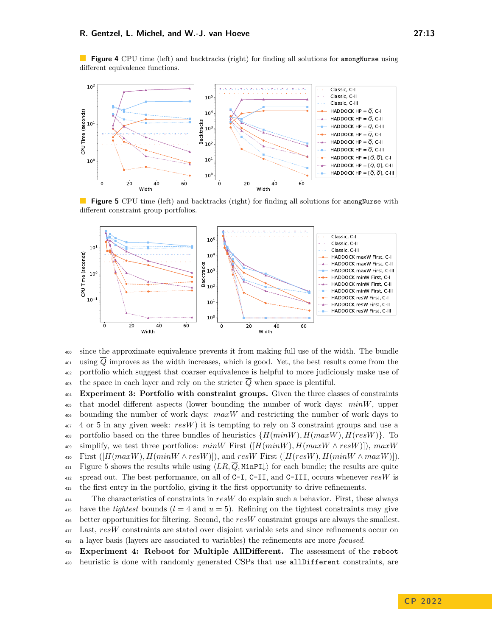

<span id="page-12-0"></span>**Figure 4** CPU time (left) and backtracks (right) for finding all solutions for amongNurse using different equivalence functions.

<span id="page-12-1"></span>**Figure 5** CPU time (left) and backtracks (right) for finding all solutions for amongNurse with different constraint group portfolios.



<sup>400</sup> since the approximate equivalence prevents it from making full use of the width. The bundle  $\overline{Q}$  improves as the width increases, which is good. Yet, the best results come from the <sup>402</sup> portfolio which suggest that coarser equivalence is helpful to more judiciously make use of  $\frac{403}{403}$  the space in each layer and rely on the stricter  $\overline{Q}$  when space is plentiful.

<sup>404</sup> **Experiment 3: Portfolio with constraint groups.** Given the three classes of constraints <sup>405</sup> that model different aspects (lower bounding the number of work days: *minW*, upper <sup>406</sup> bounding the number of work days: *maxW* and restricting the number of work days to <sup>407</sup> 4 or 5 in any given week: *resW*) it is tempting to rely on 3 constraint groups and use a 408 portfolio based on the three bundles of heuristics  $\{H(minW), H(maxW), H(resW)\}$ . To 409 simplify, we test three portfolios:  $minW$  First  $([H(minW), H(maxW \wedge resW)]$ ,  $maxW$  $\text{First } ([H(maxW), H(minW \wedge resW)]), \text{ and } resW \text{ First } ([H(resW), H(minW \wedge maxW)]).$  $\text{411}$  Figure [5](#page-12-1) shows the results while using  $\langle LR, \overline{Q}, \text{MinPI}\downarrow\rangle$  for each bundle; the results are quite <sup>412</sup> spread out. The best performance, on all of C-I, C-II, and C-III, occurs whenever *resW* is <sup>413</sup> the first entry in the portfolio, giving it the first opportunity to drive refinements.

 The characteristics of constraints in *resW* do explain such a behavior. First, these always <sup>415</sup> have the *tightest* bounds  $(l = 4$  and  $u = 5)$ . Refining on the tightest constraints may give better opportunities for filtering. Second, the *resW* constraint groups are always the smallest. Last, *resW* constraints are stated over disjoint variable sets and since refinements occur on a layer basis (layers are associated to variables) the refinements are more *focused*.

<sup>419</sup> **Experiment 4: Reboot for Multiple AllDifferent.** The assessment of the reboot <sup>420</sup> heuristic is done with randomly generated CSPs that use allDifferent constraints, are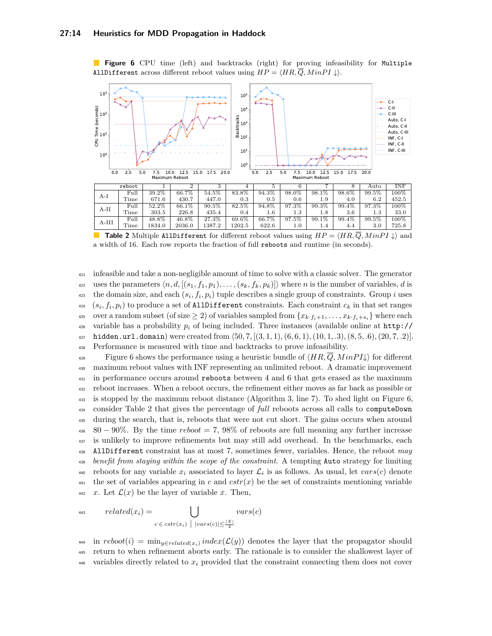<span id="page-13-0"></span>**Figure 6** CPU time (left) and backtracks (right) for proving infeasibility for Multiple AllDifferent across different reboot values using  $HP = \langle HR, \overline{Q}, MinPI \downarrow \rangle$ .



<span id="page-13-1"></span>**Table 2** Multiple AllDifferent for different reboot values using  $HP = \langle HR, \overline{Q}, MinPI \downarrow \rangle$  and a width of 16. Each row reports the fraction of full reboots and runtime (in seconds).

<sup>421</sup> infeasible and take a non-negligible amount of time to solve with a classic solver. The generator uses the parameters  $\langle n, d, \left[ (s_1, f_1, p_1), \ldots, (s_k, f_k, p_k) \right] \rangle$  where *n* is the number of variables, *d* is the domain size, and each  $(s_i, f_i, p_i)$  tuple describes a single group of constraints. Group *i* uses  $(s_i, f_i, p_i)$  to produce a set of AllDifferent constraints. Each constraint  $c_k$  in that set ranges over a random subset (of size  $\geq 2$ ) of variables sampled from  $\{x_k, f_{i+1}, \ldots, x_k, f_{i+s_i}\}\$  where each <sup>426</sup> [v](http://hidden.url.domain)ariable has a probability  $p_i$  of being included. Three instances (available online at  $\frac{http!}{\sqrt{2}}$ <sup>427</sup> [hidden.url.domain](http://hidden.url.domain)) were created from ⟨50*,* 7*,* [(3*,* 1*,* 1)*,*(6*,* 6*,* 1)*,*(10*,* 1*, .*3)*,*(8*,* 5*, .*6)*,*(20*,* 7*, .*2)]. <sup>428</sup> Performance is measured with time and backtracks to prove infeasibility.

Figure [6](#page-13-0) shows the performance using a heuristic bundle of  $\langle HR, \overline{Q}, MinPI \downarrow \rangle$  for different <sup>430</sup> maximum reboot values with INF representing an unlimited reboot. A dramatic improvement <sup>431</sup> in performance occurs around reboots between 4 and 6 that gets erased as the maximum <sup>432</sup> reboot increases. When a reboot occurs, the refinement either moves as far back as possible or <sup>433</sup> is stopped by the maximum reboot distance (Algorithm [3,](#page-9-2) line 7). To shed light on Figure [6,](#page-13-0) <sup>434</sup> consider Table [2](#page-13-1) that gives the percentage of *full* reboots across all calls to computeDown <sup>435</sup> during the search, that is, reboots that were not cut short. The gains occurs when around <sup>436</sup> 80 − 90%. By the time *reboot* = 7, 98% of reboots are full meaning any further increase <sup>437</sup> is unlikely to improve refinements but may still add overhead. In the benchmarks, each <sup>438</sup> AllDifferent constraint has at most 7, sometimes fewer, variables. Hence, the reboot *may* <sup>439</sup> *benefit from staying within the scope of the constraint*. A tempting Auto strategy for limiting reboots for any variable  $x_i$  associated to layer  $\mathcal{L}_i$  is as follows. As usual, let  $vars(c)$  denote <sup>441</sup> the set of variables appearing in *c* and  $cstr(x)$  be the set of constraints mentioning variable 442 *x*. Let  $\mathcal{L}(x)$  be the layer of variable *x*. Then,

443 
$$
related(x_i) = \bigcup_{c \in \text{cstr}(x_i) \mid \left| \text{vars}(c) \right| \le \frac{|X|}{2}} \text{vars}(c)
$$

 $i<sup>444</sup>$  in  $reboot(i) = \min_{y \in related(x_i)} index(\mathcal{L}(y))$  denotes the layer that the propagator should <sup>445</sup> return to when refinement aborts early. The rationale is to consider the shallowest layer of 446 variables directly related to  $x_i$  provided that the constraint connecting them does not cover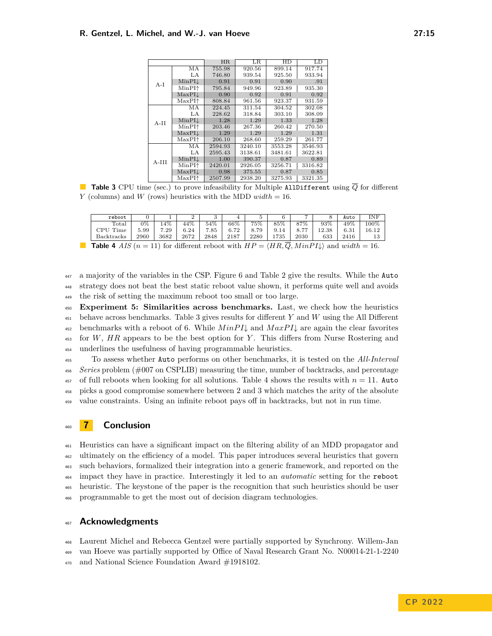<span id="page-14-1"></span>

|         |                   | <b>HR</b> | LR      | HD      | LD      |
|---------|-------------------|-----------|---------|---------|---------|
|         | МA                | 755.98    | 920.56  | 899.14  | 917.74  |
|         | LA                | 746.80    | 939.54  | 925.50  | 933.94  |
| $A-I$   | $MinPI\downarrow$ | 0.91      | 0.91    | 0.90    | .91     |
|         | MinPI $\uparrow$  | 795.84    | 949.96  | 923.89  | 935.30  |
|         | MaxPIL            | 0.90      | 0.92    | 0.91    | 0.92    |
|         | MaxPI↑            | 808.84    | 961.56  | 923.37  | 931.59  |
|         | МA                | 224.45    | 311.54  | 304.52  | 302.08  |
|         | LA                | 228.62    | 318.84  | 303.10  | 308.09  |
| $A-II$  | $MinPI\downarrow$ | 1.28      | 1.29    | 1.33    | 1.28    |
|         | MinPI $\uparrow$  | 203.46    | 267.36  | 260.42  | 270.50  |
|         | MaxPIL            | 1.29      | 1.29    | 1.29    | 1.31    |
|         | MaxPI↑            | 206.10    | 268.60  | 259.29  | 261.77  |
|         | МA                | 2594.93   | 3240.10 | 3553.28 | 3546.93 |
|         | LA                | 2595.43   | 3138.61 | 3481.61 | 3622.81 |
| $A-III$ | MinPIL            | 1.00      | 390.37  | 0.87    | 0.89    |
|         | MinPI $\uparrow$  | 2420.01   | 2926.05 | 3256.71 | 3316.82 |
|         | MaxPIL            | 0.98      | 375.55  | 0.87    | 0.85    |
|         | MaxPI↑            | 2507.99   | 2938.20 | 3275.93 | 3321.35 |

**Table 3** CPU time (sec.) to prove infeasibility for Multiple AllDifferent using  $\overline{Q}$  for different *Y* (columns) and *W* (rows) heuristics with the MDD *width* = 16.

<span id="page-14-2"></span>

|                                                                                                                                  | reboot         |      |      |      |      |      | b.   |      |      |       | Auto | INF   |
|----------------------------------------------------------------------------------------------------------------------------------|----------------|------|------|------|------|------|------|------|------|-------|------|-------|
|                                                                                                                                  | $_{\rm Total}$ | 0%   | 14%  | 44%  | 54%  | 66%  | 75%  | 85%  | 87%  | 93%   | 49%  | 100%  |
|                                                                                                                                  | CPU Time       | 5.99 | 7.29 | 6.24 | 7.85 | 6.72 | 8.79 | 9.14 | 8.77 | 12.38 | 6.31 | 16.12 |
|                                                                                                                                  | Backtracks     | 2960 | 3682 | 2672 | 2848 | 2187 | 2280 | 1735 | 2030 | 633   | 2416 | 13    |
| <b>Table 4</b> AIS $(n = 11)$ for different reboot with $HP = \langle HR, \overline{Q}, MinPI\downarrow \rangle$ and width = 16. |                |      |      |      |      |      |      |      |      |       |      |       |

<sup>447</sup> a majority of the variables in the CSP. Figure [6](#page-13-0) and Table [2](#page-13-1) give the results. While the Auto <sup>448</sup> strategy does not beat the best static reboot value shown, it performs quite well and avoids <sup>449</sup> the risk of setting the maximum reboot too small or too large.

 **Experiment 5: Similarities across benchmarks.** Last, we check how the heuristics behave across benchmarks. Table [3](#page-14-1) gives results for different *Y* and *W* using the All Different 452 benchmarks with a reboot of 6. While  $MinPI\downarrow$  and  $MaxPI\downarrow$  are again the clear favorites for *W*, *HR* appears to be the best option for *Y* . This differs from Nurse Rostering and underlines the usefulness of having programmable heuristics.

 To assess whether Auto performs on other benchmarks, it is tested on the *All-Interval Series* problem (#007 on CSPLIB) measuring the time, number of backtracks, and percentage of full reboots when looking for all solutions. Table [4](#page-14-2) shows the results with  $n = 11$ . Auto picks a good compromise somewhere between 2 and 3 which matches the arity of the absolute value constraints. Using an infinite reboot pays off in backtracks, but not in run time.

# <span id="page-14-0"></span><sup>460</sup> **7 Conclusion**

 Heuristics can have a significant impact on the filtering ability of an MDD propagator and ultimately on the efficiency of a model. This paper introduces several heuristics that govern such behaviors, formalized their integration into a generic framework, and reported on the impact they have in practice. Interestingly it led to an *automatic* setting for the reboot heuristic. The keystone of the paper is the recognition that such heuristics should be user programmable to get the most out of decision diagram technologies.

## <sup>467</sup> **Acknowledgments**

<sup>468</sup> Laurent Michel and Rebecca Gentzel were partially supported by Synchrony. Willem-Jan

<sup>469</sup> van Hoeve was partially supported by Office of Naval Research Grant No. N00014-21-1-2240

<sup>470</sup> and National Science Foundation Award #1918102.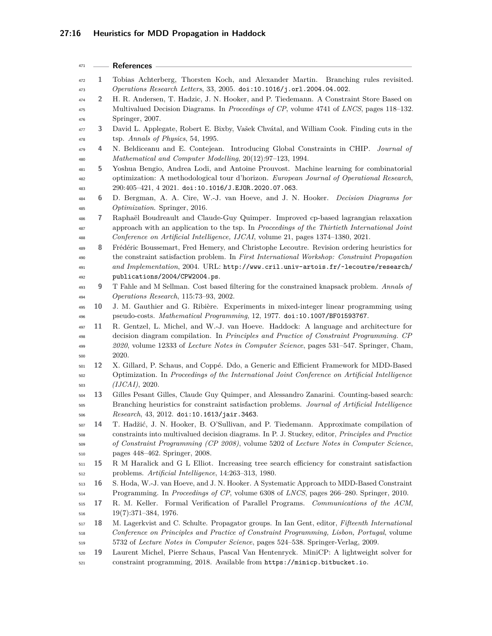<span id="page-15-18"></span><span id="page-15-17"></span><span id="page-15-16"></span><span id="page-15-15"></span><span id="page-15-14"></span><span id="page-15-13"></span><span id="page-15-12"></span><span id="page-15-11"></span><span id="page-15-10"></span><span id="page-15-9"></span><span id="page-15-8"></span><span id="page-15-7"></span><span id="page-15-6"></span><span id="page-15-5"></span><span id="page-15-4"></span><span id="page-15-3"></span><span id="page-15-2"></span><span id="page-15-1"></span><span id="page-15-0"></span>

| 471        |    | References -                                                                                                                                                                      |
|------------|----|-----------------------------------------------------------------------------------------------------------------------------------------------------------------------------------|
| 472        | 1  | Tobias Achterberg, Thorsten Koch, and Alexander Martin.<br>Branching rules revisited.                                                                                             |
| 473        |    | Operations Research Letters, 33, 2005. doi:10.1016/j.orl.2004.04.002.                                                                                                             |
| 474        | 2  | H. R. Andersen, T. Hadzic, J. N. Hooker, and P. Tiedemann. A Constraint Store Based on                                                                                            |
| 475        |    | Multivalued Decision Diagrams. In Proceedings of CP, volume 4741 of LNCS, pages 118-132.                                                                                          |
| 476        |    | Springer, 2007.                                                                                                                                                                   |
| 477        | 3  | David L. Applegate, Robert E. Bixby, Vašek Chvátal, and William Cook. Finding cuts in the                                                                                         |
| 478        |    | tsp. Annals of Physics, 54, 1995.                                                                                                                                                 |
| 479<br>480 | 4  | N. Beldiceanu and E. Contejean. Introducing Global Constraints in CHIP.<br>Journal of<br>Mathematical and Computer Modelling, 20(12):97-123, 1994.                                |
| 481        | 5  | Yoshua Bengio, Andrea Lodi, and Antoine Prouvost. Machine learning for combinatorial                                                                                              |
| 482        |    | optimization: A methodological tour d'horizon. European Journal of Operational Research,                                                                                          |
| 483        |    | 290:405-421, 4 2021. doi:10.1016/J.EJOR.2020.07.063.                                                                                                                              |
| 484<br>485 | 6  | D. Bergman, A. A. Cire, W.-J. van Hoeve, and J. N. Hooker. Decision Diagrams for<br>Optimization. Springer, 2016.                                                                 |
| 486        | 7  | Raphaël Boudreault and Claude-Guy Quimper. Improved cp-based lagrangian relaxation                                                                                                |
| 487        |    | approach with an application to the tsp. In Proceedings of the Thirtieth International Joint                                                                                      |
| 488        |    | Conference on Artificial Intelligence, IJCAI, volume 21, pages 1374-1380, 2021.                                                                                                   |
| 489        | 8  | Frédéric Boussemart, Fred Hemery, and Christophe Lecoutre. Revision ordering heuristics for                                                                                       |
| 490        |    | the constraint satisfaction problem. In First International Workshop: Constraint Propagation                                                                                      |
| 491        |    | and Implementation, 2004. URL: http://www.cril.univ-artois.fr/~lecoutre/research/                                                                                                 |
| 492        |    | publications/2004/CPW2004.ps.                                                                                                                                                     |
| 493        | 9  | T Fahle and M Sellman. Cost based filtering for the constrained knapsack problem. Annals of                                                                                       |
| 494        |    | Operations Research, 115:73-93, 2002.                                                                                                                                             |
| 495        | 10 | J. M. Gauthier and G. Ribière. Experiments in mixed-integer linear programming using                                                                                              |
| 496        |    | pseudo-costs. Mathematical Programming, 12, 1977. doi:10.1007/BF01593767.                                                                                                         |
| 497        | 11 | R. Gentzel, L. Michel, and W.-J. van Hoeve. Haddock: A language and architecture for                                                                                              |
| 498        |    | decision diagram compilation. In Principles and Practice of Constraint Programming. CP<br>2020, volume 12333 of Lecture Notes in Computer Science, pages 531-547. Springer, Cham, |
| 499<br>500 |    | 2020.                                                                                                                                                                             |
| 501        | 12 | X. Gillard, P. Schaus, and Coppé. Ddo, a Generic and Efficient Framework for MDD-Based                                                                                            |
| 502        |    | Optimization. In Proceedings of the International Joint Conference on Artificial Intelligence                                                                                     |
| 503        |    | (IJCAI), 2020.                                                                                                                                                                    |
| 504        | 13 | Gilles Pesant Gilles, Claude Guy Quimper, and Alessandro Zanarini. Counting-based search:                                                                                         |
| 505        |    | Branching heuristics for constraint satisfaction problems. Journal of Artificial Intelligence                                                                                     |
| 506        |    | Research, 43, 2012. doi:10.1613/jair.3463.                                                                                                                                        |
| 507        | 14 | T. Hadžić, J. N. Hooker, B. O'Sullivan, and P. Tiedemann. Approximate compilation of                                                                                              |
| 508        |    | constraints into multivalued decision diagrams. In P. J. Stuckey, editor, Principles and Practice                                                                                 |
| 509        |    | of Constraint Programming (CP 2008), volume 5202 of Lecture Notes in Computer Science,                                                                                            |
| 510        |    | pages 448–462. Springer, 2008.                                                                                                                                                    |
| 511        | 15 | R M Haralick and G L Elliot. Increasing tree search efficiency for constraint satisfaction                                                                                        |
| 512        |    | problems. Artificial Intelligence, 14:263-313, 1980.                                                                                                                              |
| 513        | 16 | S. Hoda, W.-J. van Hoeve, and J. N. Hooker. A Systematic Approach to MDD-Based Constraint                                                                                         |
| 514        |    | Programming. In Proceedings of CP, volume 6308 of LNCS, pages 266-280. Springer, 2010.                                                                                            |
| 515        | 17 | R. M. Keller. Formal Verification of Parallel Programs. Communications of the ACM,                                                                                                |
| 516        |    | $19(7):371-384, 1976.$                                                                                                                                                            |
| 517        | 18 | M. Lagerkvist and C. Schulte. Propagator groups. In Ian Gent, editor, Fifteenth International                                                                                     |
| 518        |    | Conference on Principles and Practice of Constraint Programming, Lisbon, Portugal, volume                                                                                         |
| 519        |    | 5732 of Lecture Notes in Computer Science, pages 524-538. Springer-Verlag, 2009.                                                                                                  |
| 520        | 19 | Laurent Michel, Pierre Schaus, Pascal Van Hentenryck. MiniCP: A lightweight solver for                                                                                            |
| 521        |    | constraint programming, 2018. Available from https://minicp.bitbucket.io.                                                                                                         |